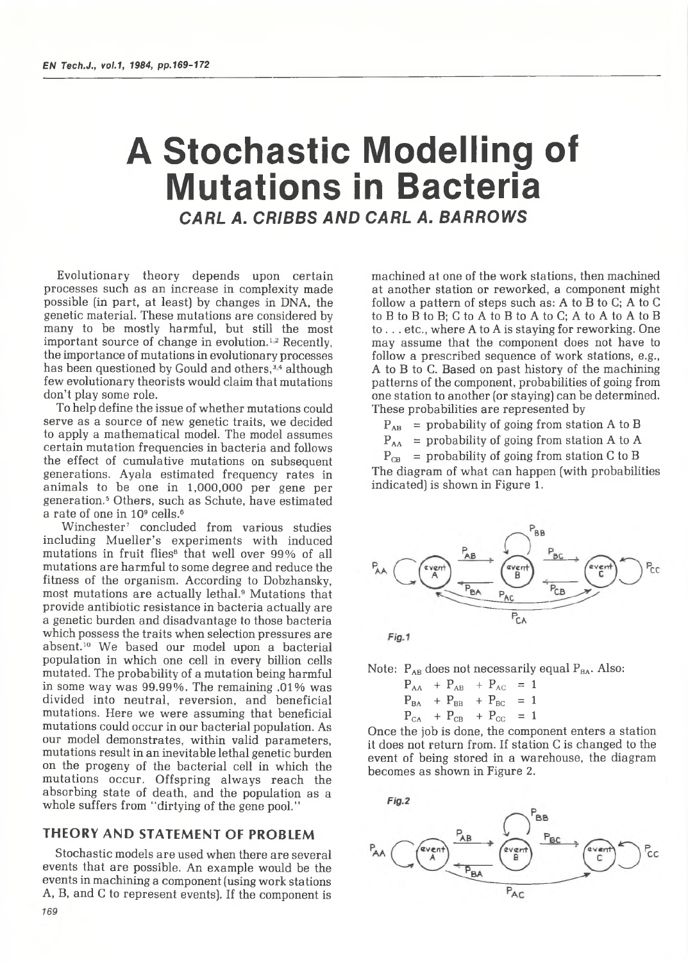# A Stochastic Modelling of Mutations in Bacteria

*CARL A. CRIBBS AND CARL A. BARROWS*

Evolutionary theory depends upon certain processes such as an increase in complexity made possible (in part, at least) by changes in DNA, the genetic material. These mutations are considered by many to be mostly harmful, but still the most important source of change in evolution.<sup>12</sup> Recently, the importance of mutations in evolutionary processes has been questioned by Gould and others,<sup>34</sup> although few evolutionary theorists would claim that mutations don't play some role.

To help define the issue of whether mutations could serve as a source of new genetic traits, we decided to apply a mathematical model. The model assumes certain mutation frequencies in bacteria and follows the effect of cumulative mutations on subsequent generations. Ayala estimated frequency rates in animals to be one in 1,000,000 per gene per generation.5 Others, such as Schute, have estimated a rate of one in 10<sup>9</sup> cells.<sup>6</sup>

Winchester<sup>7</sup> concluded from various studies including Mueller's experiments with induced mutations in fruit flies<sup>8</sup> that well over 99% of all mutations are harmful to some degree and reduce the fitness of the organism. According to Dobzhansky, most mutations are actually lethal.9 Mutations that provide antibiotic resistance in bacteria actually are a genetic burden and disadvantage to those bacteria which possess the traits when selection pressures are absent.10 We based our model upon a bacterial population in which one cell in every billion cells mutated. The probability of a mutation being harmful in some way was 99.99%. The remaining .01% was divided into neutral, reversion, and beneficial mutations. Here we were assuming that beneficial mutations could occur in our bacterial population. As our model demonstrates, within valid parameters, mutations result in an inevitable lethal genetic burden on the progeny of the bacterial cell in which the mutations occur. Offspring always reach the absorbing state of death, and the population as a whole suffers from "dirtying of the gene pool."

### THEORY AND STATEMENT OF PROBLEM

Stochastic models are used when there are several events that are possible. An example would be the events in machining a component (using work stations A, B, and C to represent events). If the component is

machined at one of the work stations, then machined at another station or reworked, a component might follow a pattern of steps such as: A to B to C; A to C to B to B to B; C to A to B to A to C; A to A to A to B to . . . etc., where A to A is staying for reworking. One may assume that the component does not have to follow a prescribed sequence of work stations, e.g., A to B to C. Based on past history of the machining patterns of the component, probabilities of going from one station to another (or staying) can be determined. These probabilities are represented by

 $P_{AB}$  = probability of going from station A to B

 $P_{AA}$  = probability of going from station A to A

 $P_{CB}$  = probability of going from station C to B

The diagram of what can happen (with probabilities indicated) is shown in Figure 1.



Note:  $P_{AB}$  does not necessarily equal  $P_{BA}$ . Also:

 $P_{AA}$  +  $P_{AB}$  +  $P_{AC}$  = 1  $P_{BA}$  +  $P_{BB}$  +  $P_{BC}$  = 1  $P_{CA}$  +  $P_{CB}$  +  $P_{CC}$  = 1

Once the job is done, the component enters a station it does not return from. If station C is changed to the event of being stored in a warehouse, the diagram becomes as shown in Figure 2.

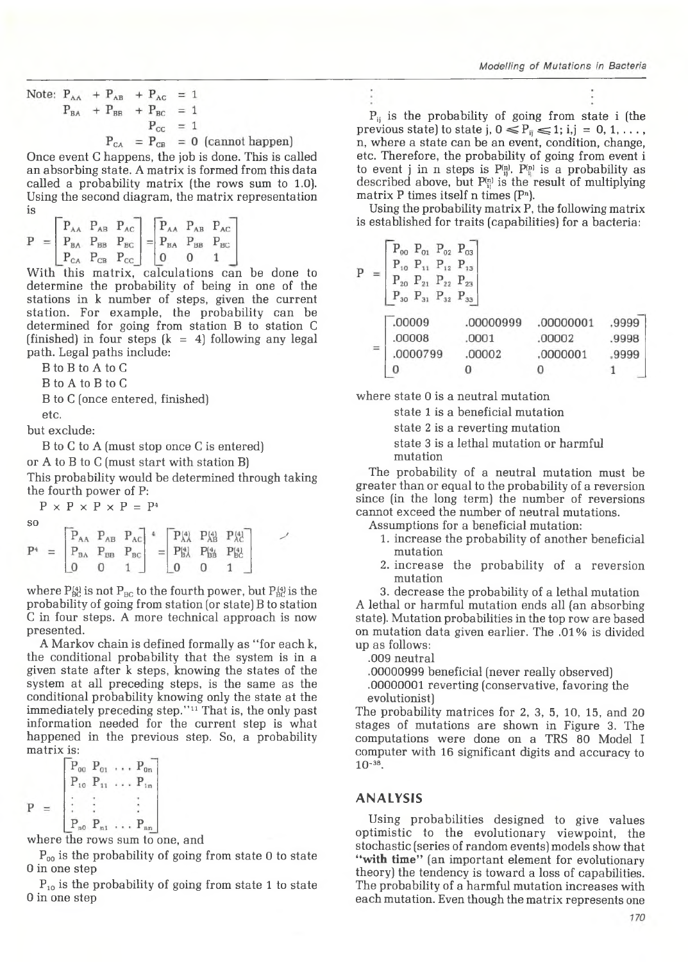Note:  $P_{AA}$  +  $P_{AB}$  +  $P_{AC}$  = 1  $P_{BA}$  +  $P_{BB}$  +  $P_{BC}$  = 1  $P_{CC}$  = 1  $P_{CA} = P_{CB} = 0$  (cannot happen)

Once event C happens, the job is done. This is called an absorbing state. A matrix is formed from this data called a probability matrix (the rows sum to 1.0). Using the second diagram, the matrix representation is

$$
P = \begin{bmatrix} P_{AA} & P_{AB} & P_{AC} \\ P_{BA} & P_{BB} & P_{BC} \\ P_{CA} & P_{CB} & P_{CC} \end{bmatrix} = \begin{bmatrix} P_{AA} & P_{AB} & P_{AC} \\ P_{BA} & P_{BB} & P_{BC} \\ 0 & 0 & 1 \end{bmatrix}
$$

With this matrix, calculations can be done to determine the probability of being in one of the stations in k number of steps, given the current station. For example, the probability can be determined for going from station B to station C (finished) in four steps  $(k = 4)$  following any legal path. Legal paths include:

B to B to A to C

B to A to B to C

B to C (once entered, finished)

etc.

but exclude:

B to C to A (must stop once C is entered) or A to B to C (must start with station B) This probability would be determined through taking

the fourth power of P:  $P \times P \times P \times P = P^4$ 

so

| .              |                                                                                 |  |  | $\begin{array}{ c c c c c c c c c } \hline \textbf{P}_\text{AB} & \textbf{P}_\text{AC} & \ast & \boxed{\textbf{P}_\text{AA}^{(4)}} & \textbf{P}_\text{AB}^{(4)} & \textbf{P}_\text{AC}^{(4)} \\ \hline \end{array}$ |  |
|----------------|---------------------------------------------------------------------------------|--|--|---------------------------------------------------------------------------------------------------------------------------------------------------------------------------------------------------------------------|--|
| P <sup>4</sup> | $=$ $P_{BA}$ $P_{BB}$ $P_{BC}$ $=$ $P_{BA}^{(4)}$ $P_{BB}^{(4)}$ $P_{BC}^{(4)}$ |  |  |                                                                                                                                                                                                                     |  |
|                |                                                                                 |  |  |                                                                                                                                                                                                                     |  |

where  $P_{BC}^{(4)}$  is not  $P_{BC}$  to the fourth power, but  $P_{BC}^{(4)}$  is the probability of going from station (or state) B to station C in four steps. A more technical approach is now presented.

A Markov chain is defined formally as "for each k, the conditional probability that the system is in a given state after k steps, knowing the states of the system at all preceding steps, is the same as the conditional probability knowing only the state at the immediately preceding step."11 That is, the only past information needed for the current step is what happened in the previous step. So, a probability matrix is:

$$
P = \begin{bmatrix} P_{00} & P_{01} & \dots & P_{0n} \\ P_{10} & P_{11} & \dots & P_{1n} \\ \vdots & \vdots & & \vdots \\ P_{n0} & P_{n1} & \dots & P_{nn} \end{bmatrix}
$$

where the rows sum to one, and

 $P_{00}$  is the probability of going from state 0 to state 0 in one step

 $P_{10}$  is the probability of going from state 1 to state 0 in one step

 $P_{ij}$  is the probability of going from state i (the previous state) to state j,  $0 \le P_{ij} \le 1$ ; i,j = 0, 1, ..., n, where a state can be an event, condition, change, etc. Therefore, the probability of going from event i to event j in n steps is  $P_{ii}^{(n)}$ .  $P_{ii}^{(n)}$  is a probability as described above, but  $P_{ij}^{(n)}$  is the result of multiplying

matrix P times itself n times  $(P<sup>n</sup>)$ . Using the probability matrix P, the following matrix is established for traits (capabilities) for a bacteria:

$$
= \begin{bmatrix} P_{00} & P_{01} & P_{02} & P_{03} \ P_{10} & P_{11} & P_{12} & P_{13} \ P_{20} & P_{21} & P_{22} & P_{23} \ P_{30} & P_{31} & P_{32} & P_{33} \end{bmatrix}
$$
  
= 
$$
\begin{bmatrix} .00009 & .00000999 & .00000001 & .9999 \ .0000001 & .00002 & .9998 \ .0000001 & .00002 & .9999 \end{bmatrix}
$$

where state 0 is a neutral mutation

 $\Omega$ 

state 1 is a beneficial mutation

state 2 is a reverting mutation

state 3 is a lethal mutation or harmful mutation

 $\Omega$ 

1

The probability of a neutral mutation must be greater than or equal to the probability of a reversion since (in the long term) the number of reversions cannot exceed the number of neutral mutations.

Assumptions for a beneficial mutation:

- 1. increase the probability of another beneficial mutation
- 2. increase the probability of a reversion mutation

3. decrease the probability of a lethal mutation A lethal or harmful mutation ends all (an absorbing

state). Mutation probabilities in the top row are based on mutation data given earlier. The .01% is divided up as follows:

.009 neutral

 $\mathbf{p}$ 

 $\overline{0}$ 

.00000999 beneficial (never really observed)

.00000001 reverting (conservative, favoring the evolutionist)

The probability matrices for 2, 3, 5, 10, 15, and 20 stages of mutations are shown in Figure 3. The computations were done on a TRS 80 Model I computer with 16 significant digits and accuracy to 10-38.

## ANALYSIS

Using probabilities designed to give values optimistic to the evolutionary viewpoint, the stochastic (series of random events) models show that **"with time"** (an important element for evolutionary theory) the tendency is toward a loss of capabilities. The probability of a harmful mutation increases with each mutation. Even though the matrix represents one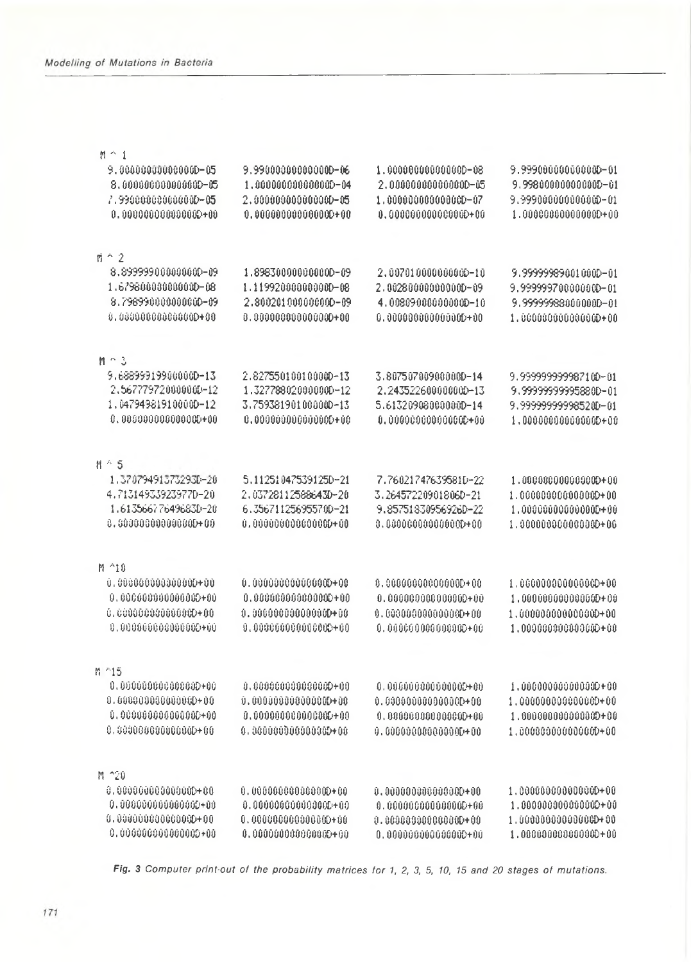| $M \cap 1$              |                         |                           |                        |
|-------------------------|-------------------------|---------------------------|------------------------|
| 9.000000000000000-05    | 9.990000000000000-06    | 1.000000000000000-08      | 9.999000000000000-01   |
| 8.000000000000000-05    | 1.00000000000000D-04    | 2.000000000000000-05      | 9.998000000000000-01   |
| 7.990000000000000-05    | 2,000000000000000-05    | 1.000000000000000-07      | 9.999000000000000-01   |
| 0,000000000000000000000 | $0.000000000000000+00$  | $0.000000000000000+00$    | $1.000000000000000+00$ |
|                         |                         |                           |                        |
| $\mathfrak{m} \cap 2$   |                         |                           |                        |
| 8,899999000000000-09    | 1.898300000000000-09    | 2,0070100000000000-10     | 9.99999989001000D-01   |
| 1.679800000000000-08    | 1.119920000000000-08    | 2.002800000000000-09      | 9.999999700000000-01   |
| 8.798990000000000-09    | 2.8002010000000000-89   | 4.008090000000000-10      | 9.999999880000000-01   |
| 0.000000000000000+00    |                         | $0.000000000000000+00$    | 1.000000000000000+00   |
| $M \cap 3$              |                         |                           |                        |
| 9.688999199000000-13    | 2.827550100100000-13    | 3.807507009000000-14      | 9.999999999987100-01   |
| 2.5677797200000000-12   | 1.327788020000000-12    | 2.2435226000000000-13     | 9.9999999995880D-01    |
| 1.047949819100000-12    | 3.759381901000000-13    | 5.613209080000000-14      | 9.999999999985200-01   |
| 0.00000000000000000000  | $0.0000000000000000+00$ | 0.00000000000000000000    | $1.000000000000000+00$ |
|                         |                         |                           |                        |
| $M \triangleq 5$        |                         |                           |                        |
| 1.370794913732930-20    | 5.112510475391250-21    | 7.76021747639581D-22      | 1.0000000000000000+00  |
| 4.713149339239770-20    | 2,037281125886430-20    | 3.26457220901806D-21      |                        |
| 1.613566776496830-20    | 6.356711256955700-21    | 9.857518309569260-22      | 1.0000000000000000+00  |
| $0.5030000000000000+00$ |                         | 0.00000000000000000000    | 1.000000000000000+06   |
| M ^10                   |                         |                           |                        |
| 0.00000000000000000000  | 0.000000000000000000000 | 0,00000000000000000000    | 1.000000000000000+00   |
| 0,0000000000000000000   | 0,00000000000000000000  | 0.00000000000000000000    | 1.0000000000000000+00  |
| 0.0000000000000000000   | 0.000000000000000000000 |                           | 1,000000000000000+00   |
| 0.000000000000000+00    | 0,00000000000000000000  | 0.00000000000000000000    | 1,000000000000000+00   |
|                         |                         |                           |                        |
| 普 ~15                   |                         |                           |                        |
| 0.000000000000000+00    | $0,000000000000000+00$  | 0.0000000000000000+00     | $1.006000000000000+00$ |
| 0.000000000000000+00    | $0.000000000000000+00$  | 0.000000000000000+00      | $1.000000000000000+00$ |
| $0.0000000000000000+00$ | $0.0000000000000000+09$ | $0.000000000000000000000$ | 1.0000000000000000+00  |
| $0.00000000000000+00$   | 0.000000000000000000000 | $0.000000000000000+00$    | 1.000000000000000+00   |
| M ^20                   |                         |                           |                        |
| 0.000000000000000000000 | $0.000000000000000+00$  | 0.000000000000000000000   | 1.000000000000000+00   |
| 0.0000000000000000+00   | $0.0000000000000000+00$ | $0.000000000000000+00$    | 1.000000000000000+00   |
| 0.000000000000000000000 | $0.000000000000000+00$  |                           |                        |
| 0.0000000000000000+00   | 0.000000000000000+00    | 0.000000000000000000000   | 1.000000000000000+00   |
|                         |                         |                           |                        |

*Fig. 3 Computer print-out of the probability matrices for 1, 2, 3, 5, 10, 15 and 20 stages of mutations.*